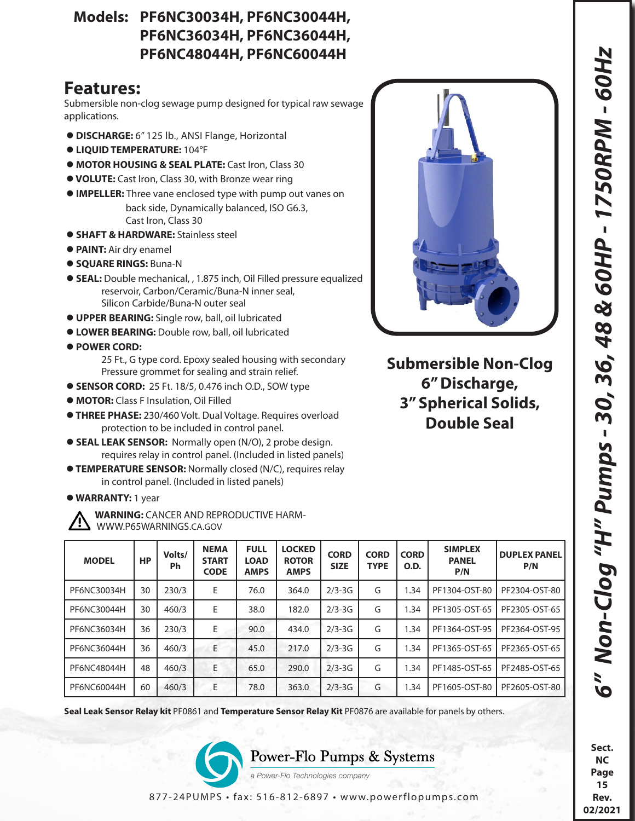**Sect. NC Page 15 Rev. 02/2021**

## **Models: PF6NC30034H, PF6NC30044H, PF6NC36034H, PF6NC36044H, PF6NC48044H, PF6NC60044H**

## **Features:**

Submersible non-clog sewage pump designed for typical raw sewage applications.

- **DISCHARGE:** 6" 125 lb., ANSI Flange, Horizontal
- **LIQUID TEMPERATURE:** 104°F
- **MOTOR HOUSING & SEAL PLATE:** Cast Iron, Class 30
- **VOLUTE:** Cast Iron, Class 30, with Bronze wear ring
- **IMPELLER:** Three vane enclosed type with pump out vanes on back side, Dynamically balanced, ISO G6.3, Cast Iron, Class 30
- **SHAFT & HARDWARE:** Stainless steel
- **PAINT:** Air dry enamel
- **SQUARE RINGS:** Buna-N
- **SEAL:** Double mechanical, , 1.875 inch, Oil Filled pressure equalized reservoir, Carbon/Ceramic/Buna-N inner seal, Silicon Carbide/Buna-N outer seal
- **UPPER BEARING:** Single row, ball, oil lubricated
- **LOWER BEARING:** Double row, ball, oil lubricated
- **POWER CORD:** 
	- 25 Ft., G type cord. Epoxy sealed housing with secondary Pressure grommet for sealing and strain relief.
- **SENSOR CORD:** 25 Ft. 18/5, 0.476 inch O.D., SOW type
- **MOTOR:** Class F Insulation, Oil Filled
- **THREE PHASE:** 230/460 Volt. Dual Voltage. Requires overload protection to be included in control panel.
- **SEAL LEAK SENSOR:** Normally open (N/O), 2 probe design. requires relay in control panel. (Included in listed panels)
- **TEMPERATURE SENSOR:** Normally closed (N/C), requires relay in control panel. (Included in listed panels)
- **WARRANTY:** 1 year

 **WARNING:** CANCER AND REPRODUCTIVE HARM- WWW.P65WARNINGS.CA.GOV

| <b>MODEL</b> | <b>HP</b> | Volts/<br>Ph | <b>NEMA</b><br><b>START</b><br><b>CODE</b> | <b>FULL</b><br><b>LOAD</b><br><b>AMPS</b> | <b>LOCKED</b><br><b>ROTOR</b><br><b>AMPS</b> | <b>CORD</b><br><b>SIZE</b> | <b>CORD</b><br><b>TYPE</b> | <b>CORD</b><br><b>O.D.</b> | <b>SIMPLEX</b><br><b>PANEL</b><br>P/N | <b>DUPLEX PANEL</b><br>P/N |
|--------------|-----------|--------------|--------------------------------------------|-------------------------------------------|----------------------------------------------|----------------------------|----------------------------|----------------------------|---------------------------------------|----------------------------|
| PF6NC30034H  | 30        | 230/3        | E                                          | 76.0                                      | 364.0                                        | $2/3 - 3G$                 | G                          | 1.34                       | PF1304-OST-80                         | PF2304-OST-80              |
| PF6NC30044H  | 30        | 460/3        | E                                          | 38.0                                      | 182.0                                        | $2/3 - 3G$                 | G                          | 1.34                       | PF1305-OST-65                         | PF2305-OST-65              |
| PF6NC36034H  | 36        | 230/3        | E                                          | 90.0                                      | 434.0                                        | $2/3 - 3G$                 | G                          | 1.34                       | PF1364-OST-95                         | PF2364-OST-95              |
| PF6NC36044H  | 36        | 460/3        | E                                          | 45.0                                      | 217.0                                        | $2/3 - 3G$                 | G                          | 1.34                       | PF1365-OST-65                         | PF2365-OST-65              |
| PF6NC48044H  | 48        | 460/3        | E                                          | 65.0                                      | 290.0                                        | $2/3 - 3G$                 | G                          | 1.34                       | PF1485-OST-65                         | PF2485-OST-65              |
| PF6NC60044H  | 60        | 460/3        | E                                          | 78.0                                      | 363.0                                        | $2/3 - 3G$                 | G                          | 1.34                       | PF1605-OST-80                         | PF2605-OST-80              |

**Seal Leak Sensor Relay kit** PF0861 and **Temperature Sensor Relay Kit** PF0876 are available for panels by others.



a Power-Flo Technologies company



**Submersible Non-Clog 6" Discharge, 3" Spherical Solids, Double Seal**

877-24PUMPS • fax: 516-812-6897 • www.powerflopumps.com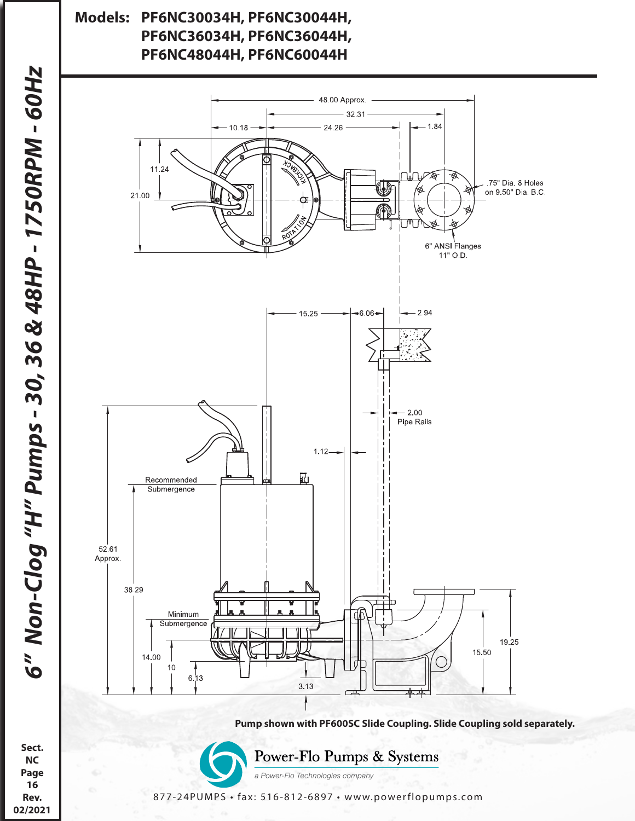## **Models: PF6NC30034H, PF6NC30044H, PF6NC36034H, PF6NC36044H, PF6NC48044H, PF6NC60044H**



877-24PUMPS • fax: 516-812-6897 • www.powerflopumps.com

**NC Page 16 Rev. 02/2021**

**Sect.**